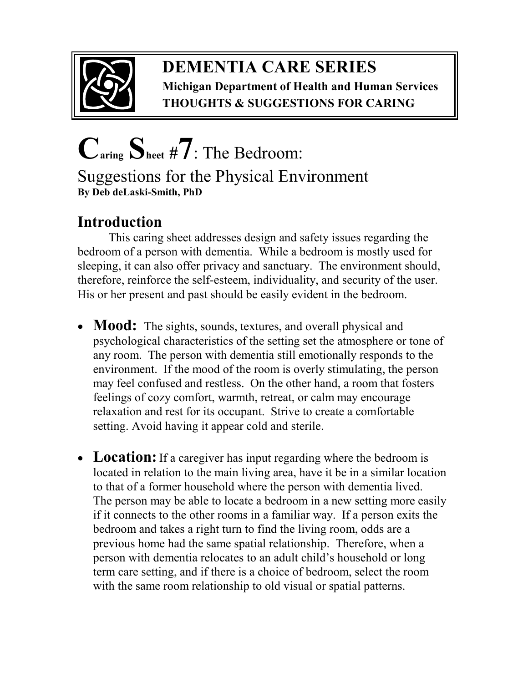

## **DEMENTIA CARE SERIES Michigan Department of Health and Human Services THOUGHTS & SUGGESTIONS FOR CARING**

## **Caring Sheet #7**: The Bedroom: Suggestions for the Physical Environment **By Deb deLaski-Smith, PhD**

## **Introduction**

 This caring sheet addresses design and safety issues regarding the bedroom of a person with dementia. While a bedroom is mostly used for sleeping, it can also offer privacy and sanctuary. The environment should, therefore, reinforce the self-esteem, individuality, and security of the user. His or her present and past should be easily evident in the bedroom.

- **Mood:** The sights, sounds, textures, and overall physical and psychological characteristics of the setting set the atmosphere or tone of any room. The person with dementia still emotionally responds to the environment. If the mood of the room is overly stimulating, the person may feel confused and restless. On the other hand, a room that fosters feelings of cozy comfort, warmth, retreat, or calm may encourage relaxation and rest for its occupant. Strive to create a comfortable setting. Avoid having it appear cold and sterile.
- Location: If a caregiver has input regarding where the bedroom is located in relation to the main living area, have it be in a similar location to that of a former household where the person with dementia lived. The person may be able to locate a bedroom in a new setting more easily if it connects to the other rooms in a familiar way. If a person exits the bedroom and takes a right turn to find the living room, odds are a previous home had the same spatial relationship. Therefore, when a person with dementia relocates to an adult child's household or long term care setting, and if there is a choice of bedroom, select the room with the same room relationship to old visual or spatial patterns.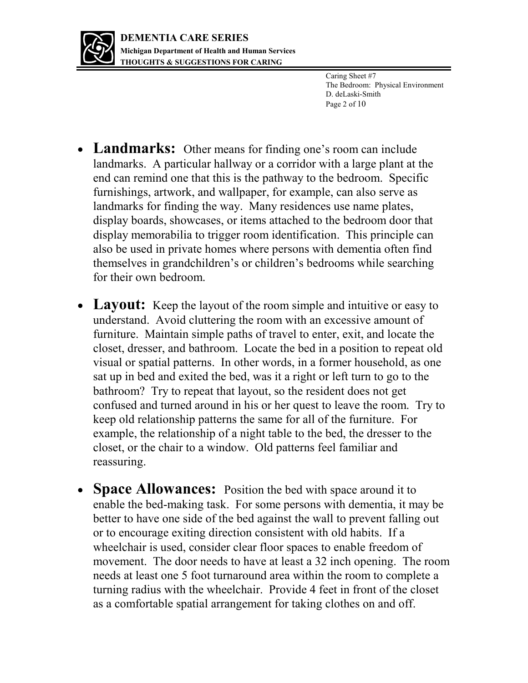

Caring Sheet #7 The Bedroom: Physical Environment D. deLaski-Smith Page 2 of 10

- **Landmarks:** Other means for finding one's room can include landmarks. A particular hallway or a corridor with a large plant at the end can remind one that this is the pathway to the bedroom. Specific furnishings, artwork, and wallpaper, for example, can also serve as landmarks for finding the way. Many residences use name plates, display boards, showcases, or items attached to the bedroom door that display memorabilia to trigger room identification. This principle can also be used in private homes where persons with dementia often find themselves in grandchildren's or children's bedrooms while searching for their own bedroom.
- Layout: Keep the layout of the room simple and intuitive or easy to understand. Avoid cluttering the room with an excessive amount of furniture. Maintain simple paths of travel to enter, exit, and locate the closet, dresser, and bathroom. Locate the bed in a position to repeat old visual or spatial patterns. In other words, in a former household, as one sat up in bed and exited the bed, was it a right or left turn to go to the bathroom? Try to repeat that layout, so the resident does not get confused and turned around in his or her quest to leave the room. Try to keep old relationship patterns the same for all of the furniture. For example, the relationship of a night table to the bed, the dresser to the closet, or the chair to a window. Old patterns feel familiar and reassuring.
- **Space Allowances:** Position the bed with space around it to enable the bed-making task. For some persons with dementia, it may be better to have one side of the bed against the wall to prevent falling out or to encourage exiting direction consistent with old habits. If a wheelchair is used, consider clear floor spaces to enable freedom of movement. The door needs to have at least a 32 inch opening. The room needs at least one 5 foot turnaround area within the room to complete a turning radius with the wheelchair. Provide 4 feet in front of the closet as a comfortable spatial arrangement for taking clothes on and off.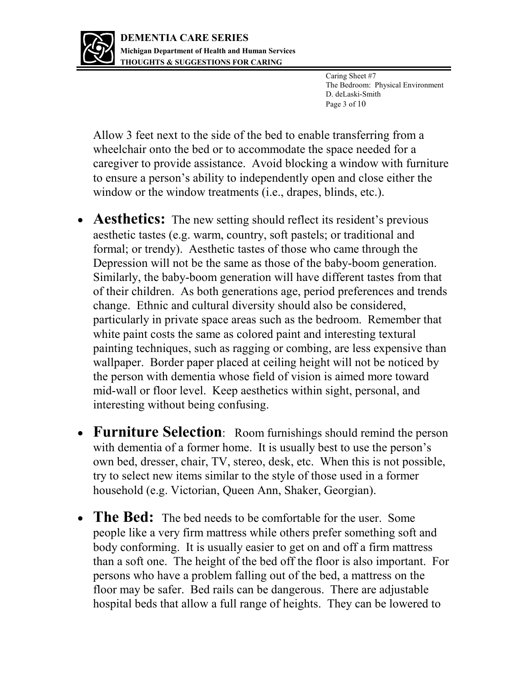

Caring Sheet #7 The Bedroom: Physical Environment D. deLaski-Smith Page 3 of 10

Allow 3 feet next to the side of the bed to enable transferring from a wheelchair onto the bed or to accommodate the space needed for a caregiver to provide assistance. Avoid blocking a window with furniture to ensure a person's ability to independently open and close either the window or the window treatments (i.e., drapes, blinds, etc.).

- **Aesthetics:** The new setting should reflect its resident's previous aesthetic tastes (e.g. warm, country, soft pastels; or traditional and formal; or trendy). Aesthetic tastes of those who came through the Depression will not be the same as those of the baby-boom generation. Similarly, the baby-boom generation will have different tastes from that of their children. As both generations age, period preferences and trends change. Ethnic and cultural diversity should also be considered, particularly in private space areas such as the bedroom. Remember that white paint costs the same as colored paint and interesting textural painting techniques, such as ragging or combing, are less expensive than wallpaper. Border paper placed at ceiling height will not be noticed by the person with dementia whose field of vision is aimed more toward mid-wall or floor level. Keep aesthetics within sight, personal, and interesting without being confusing.
- **Furniture Selection**: Room furnishings should remind the person with dementia of a former home. It is usually best to use the person's own bed, dresser, chair, TV, stereo, desk, etc. When this is not possible, try to select new items similar to the style of those used in a former household (e.g. Victorian, Queen Ann, Shaker, Georgian).
- **The Bed:** The bed needs to be comfortable for the user. Some people like a very firm mattress while others prefer something soft and body conforming. It is usually easier to get on and off a firm mattress than a soft one. The height of the bed off the floor is also important. For persons who have a problem falling out of the bed, a mattress on the floor may be safer. Bed rails can be dangerous. There are adjustable hospital beds that allow a full range of heights. They can be lowered to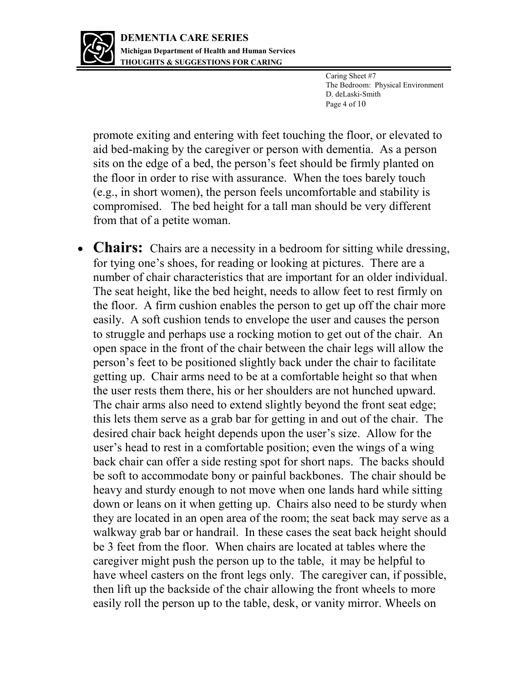

Caring Sheet #7 The Bedroom: Physical Environment D. deLaski-Smith Page 4 of 10

promote exiting and entering with feet touching the floor, or elevated to aid bed-making by the caregiver or person with dementia. As a person sits on the edge of a bed, the person's feet should be firmly planted on the floor in order to rise with assurance. When the toes barely touch (e.g., in short women), the person feels uncomfortable and stability is compromised. The bed height for a tall man should be very different from that of a petite woman.

• **Chairs:** Chairs are a necessity in a bedroom for sitting while dressing, for tying one's shoes, for reading or looking at pictures. There are a number of chair characteristics that are important for an older individual. The seat height, like the bed height, needs to allow feet to rest firmly on the floor. A firm cushion enables the person to get up off the chair more easily. A soft cushion tends to envelope the user and causes the person to struggle and perhaps use a rocking motion to get out of the chair. An open space in the front of the chair between the chair legs will allow the person's feet to be positioned slightly back under the chair to facilitate getting up. Chair arms need to be at a comfortable height so that when the user rests them there, his or her shoulders are not hunched upward. The chair arms also need to extend slightly beyond the front seat edge; this lets them serve as a grab bar for getting in and out of the chair. The desired chair back height depends upon the user's size. Allow for the user's head to rest in a comfortable position; even the wings of a wing back chair can offer a side resting spot for short naps. The backs should be soft to accommodate bony or painful backbones. The chair should be heavy and sturdy enough to not move when one lands hard while sitting down or leans on it when getting up. Chairs also need to be sturdy when they are located in an open area of the room; the seat back may serve as a walkway grab bar or handrail. In these cases the seat back height should be 3 feet from the floor. When chairs are located at tables where the caregiver might push the person up to the table, it may be helpful to have wheel casters on the front legs only. The caregiver can, if possible, then lift up the backside of the chair allowing the front wheels to more easily roll the person up to the table, desk, or vanity mirror. Wheels on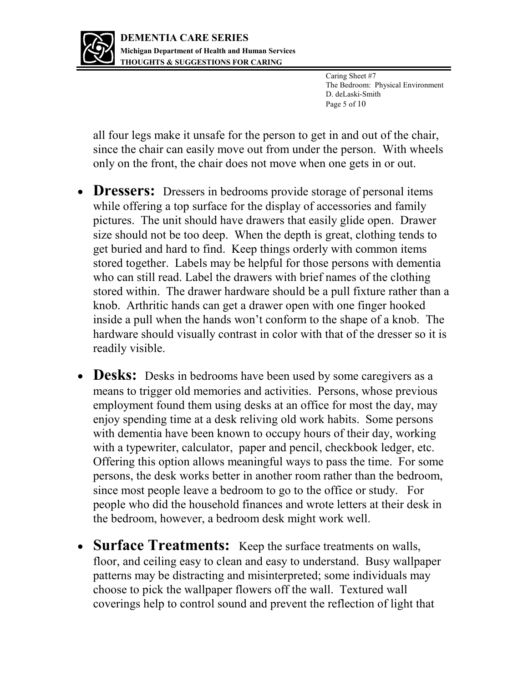

Caring Sheet #7 The Bedroom: Physical Environment D. deLaski-Smith Page 5 of 10

all four legs make it unsafe for the person to get in and out of the chair, since the chair can easily move out from under the person. With wheels only on the front, the chair does not move when one gets in or out.

- **Dressers:** Dressers in bedrooms provide storage of personal items while offering a top surface for the display of accessories and family pictures. The unit should have drawers that easily glide open. Drawer size should not be too deep. When the depth is great, clothing tends to get buried and hard to find. Keep things orderly with common items stored together. Labels may be helpful for those persons with dementia who can still read. Label the drawers with brief names of the clothing stored within. The drawer hardware should be a pull fixture rather than a knob. Arthritic hands can get a drawer open with one finger hooked inside a pull when the hands won't conform to the shape of a knob. The hardware should visually contrast in color with that of the dresser so it is readily visible.
- **Desks:** Desks in bedrooms have been used by some caregivers as a means to trigger old memories and activities. Persons, whose previous employment found them using desks at an office for most the day, may enjoy spending time at a desk reliving old work habits. Some persons with dementia have been known to occupy hours of their day, working with a typewriter, calculator, paper and pencil, checkbook ledger, etc. Offering this option allows meaningful ways to pass the time. For some persons, the desk works better in another room rather than the bedroom, since most people leave a bedroom to go to the office or study. For people who did the household finances and wrote letters at their desk in the bedroom, however, a bedroom desk might work well.
- **Surface Treatments:** Keep the surface treatments on walls, floor, and ceiling easy to clean and easy to understand. Busy wallpaper patterns may be distracting and misinterpreted; some individuals may choose to pick the wallpaper flowers off the wall. Textured wall coverings help to control sound and prevent the reflection of light that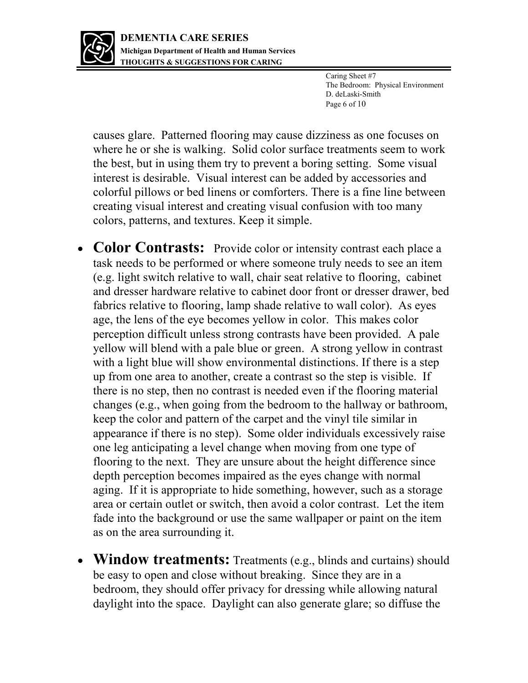

Caring Sheet #7 The Bedroom: Physical Environment D. deLaski-Smith Page 6 of 10

causes glare. Patterned flooring may cause dizziness as one focuses on where he or she is walking. Solid color surface treatments seem to work the best, but in using them try to prevent a boring setting. Some visual interest is desirable. Visual interest can be added by accessories and colorful pillows or bed linens or comforters. There is a fine line between creating visual interest and creating visual confusion with too many colors, patterns, and textures. Keep it simple.

- **Color Contrasts:** Provide color or intensity contrast each place a task needs to be performed or where someone truly needs to see an item (e.g. light switch relative to wall, chair seat relative to flooring, cabinet and dresser hardware relative to cabinet door front or dresser drawer, bed fabrics relative to flooring, lamp shade relative to wall color). As eyes age, the lens of the eye becomes yellow in color. This makes color perception difficult unless strong contrasts have been provided. A pale yellow will blend with a pale blue or green. A strong yellow in contrast with a light blue will show environmental distinctions. If there is a step up from one area to another, create a contrast so the step is visible. If there is no step, then no contrast is needed even if the flooring material changes (e.g., when going from the bedroom to the hallway or bathroom, keep the color and pattern of the carpet and the vinyl tile similar in appearance if there is no step). Some older individuals excessively raise one leg anticipating a level change when moving from one type of flooring to the next. They are unsure about the height difference since depth perception becomes impaired as the eyes change with normal aging. If it is appropriate to hide something, however, such as a storage area or certain outlet or switch, then avoid a color contrast. Let the item fade into the background or use the same wallpaper or paint on the item as on the area surrounding it.
- **Window treatments:** Treatments (e.g., blinds and curtains) should be easy to open and close without breaking. Since they are in a bedroom, they should offer privacy for dressing while allowing natural daylight into the space. Daylight can also generate glare; so diffuse the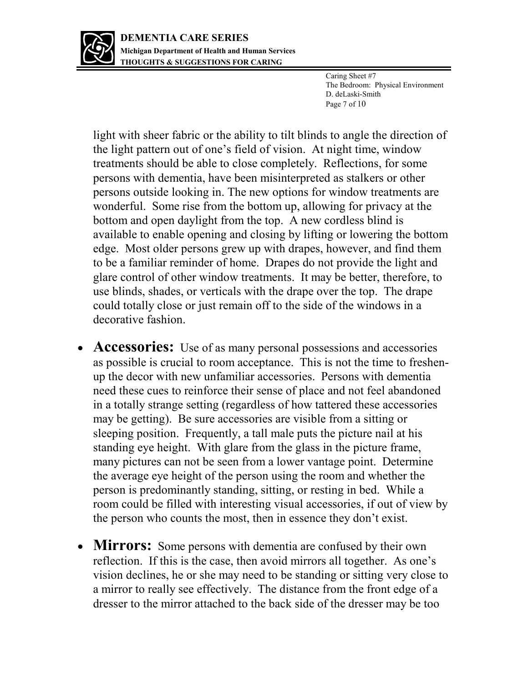

Caring Sheet #7 The Bedroom: Physical Environment D. deLaski-Smith Page 7 of 10

light with sheer fabric or the ability to tilt blinds to angle the direction of the light pattern out of one's field of vision. At night time, window treatments should be able to close completely. Reflections, for some persons with dementia, have been misinterpreted as stalkers or other persons outside looking in. The new options for window treatments are wonderful. Some rise from the bottom up, allowing for privacy at the bottom and open daylight from the top. A new cordless blind is available to enable opening and closing by lifting or lowering the bottom edge. Most older persons grew up with drapes, however, and find them to be a familiar reminder of home. Drapes do not provide the light and glare control of other window treatments. It may be better, therefore, to use blinds, shades, or verticals with the drape over the top. The drape could totally close or just remain off to the side of the windows in a decorative fashion.

- **Accessories:** Use of as many personal possessions and accessories as possible is crucial to room acceptance. This is not the time to freshenup the decor with new unfamiliar accessories. Persons with dementia need these cues to reinforce their sense of place and not feel abandoned in a totally strange setting (regardless of how tattered these accessories may be getting). Be sure accessories are visible from a sitting or sleeping position. Frequently, a tall male puts the picture nail at his standing eye height. With glare from the glass in the picture frame, many pictures can not be seen from a lower vantage point. Determine the average eye height of the person using the room and whether the person is predominantly standing, sitting, or resting in bed. While a room could be filled with interesting visual accessories, if out of view by the person who counts the most, then in essence they don't exist.
- **Mirrors:** Some persons with dementia are confused by their own reflection. If this is the case, then avoid mirrors all together. As one's vision declines, he or she may need to be standing or sitting very close to a mirror to really see effectively. The distance from the front edge of a dresser to the mirror attached to the back side of the dresser may be too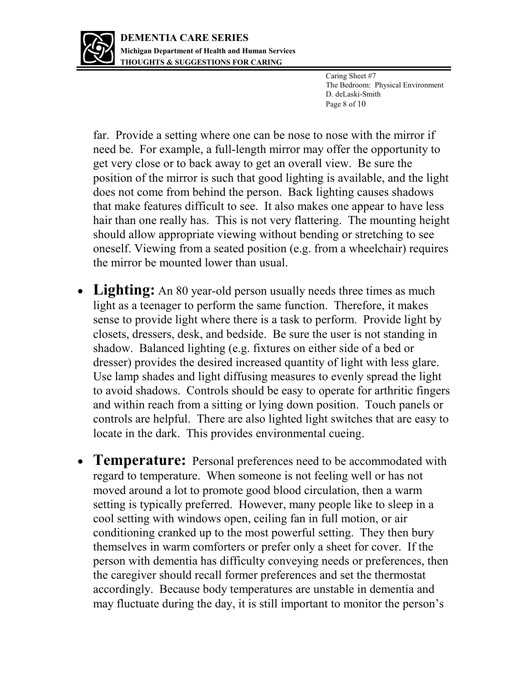

Caring Sheet #7 The Bedroom: Physical Environment D. deLaski-Smith Page 8 of 10

far. Provide a setting where one can be nose to nose with the mirror if need be. For example, a full-length mirror may offer the opportunity to get very close or to back away to get an overall view. Be sure the position of the mirror is such that good lighting is available, and the light does not come from behind the person. Back lighting causes shadows that make features difficult to see. It also makes one appear to have less hair than one really has. This is not very flattering. The mounting height should allow appropriate viewing without bending or stretching to see oneself. Viewing from a seated position (e.g. from a wheelchair) requires the mirror be mounted lower than usual.

- Lighting: An 80 year-old person usually needs three times as much light as a teenager to perform the same function. Therefore, it makes sense to provide light where there is a task to perform. Provide light by closets, dressers, desk, and bedside. Be sure the user is not standing in shadow. Balanced lighting (e.g. fixtures on either side of a bed or dresser) provides the desired increased quantity of light with less glare. Use lamp shades and light diffusing measures to evenly spread the light to avoid shadows. Controls should be easy to operate for arthritic fingers and within reach from a sitting or lying down position. Touch panels or controls are helpful. There are also lighted light switches that are easy to locate in the dark. This provides environmental cueing.
- **Temperature:** Personal preferences need to be accommodated with regard to temperature. When someone is not feeling well or has not moved around a lot to promote good blood circulation, then a warm setting is typically preferred. However, many people like to sleep in a cool setting with windows open, ceiling fan in full motion, or air conditioning cranked up to the most powerful setting. They then bury themselves in warm comforters or prefer only a sheet for cover. If the person with dementia has difficulty conveying needs or preferences, then the caregiver should recall former preferences and set the thermostat accordingly. Because body temperatures are unstable in dementia and may fluctuate during the day, it is still important to monitor the person's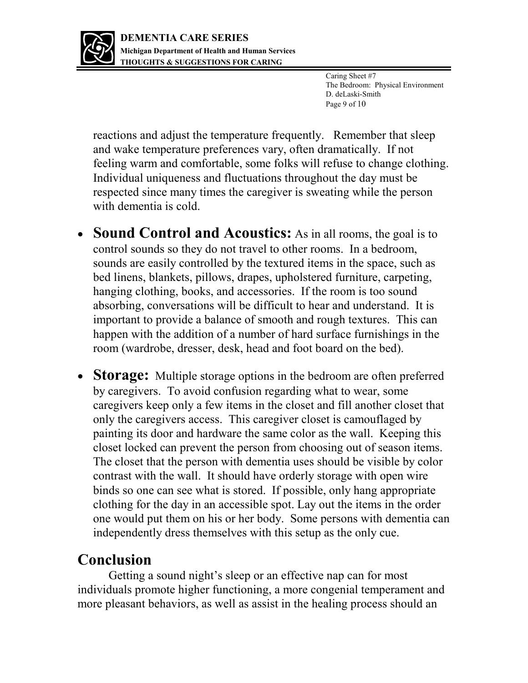

Caring Sheet #7 The Bedroom: Physical Environment D. deLaski-Smith Page 9 of 10

reactions and adjust the temperature frequently. Remember that sleep and wake temperature preferences vary, often dramatically. If not feeling warm and comfortable, some folks will refuse to change clothing. Individual uniqueness and fluctuations throughout the day must be respected since many times the caregiver is sweating while the person with dementia is cold.

- **Sound Control and Acoustics:** As in all rooms, the goal is to control sounds so they do not travel to other rooms. In a bedroom, sounds are easily controlled by the textured items in the space, such as bed linens, blankets, pillows, drapes, upholstered furniture, carpeting, hanging clothing, books, and accessories. If the room is too sound absorbing, conversations will be difficult to hear and understand. It is important to provide a balance of smooth and rough textures. This can happen with the addition of a number of hard surface furnishings in the room (wardrobe, dresser, desk, head and foot board on the bed).
- **Storage:** Multiple storage options in the bedroom are often preferred by caregivers. To avoid confusion regarding what to wear, some caregivers keep only a few items in the closet and fill another closet that only the caregivers access. This caregiver closet is camouflaged by painting its door and hardware the same color as the wall. Keeping this closet locked can prevent the person from choosing out of season items. The closet that the person with dementia uses should be visible by color contrast with the wall. It should have orderly storage with open wire binds so one can see what is stored. If possible, only hang appropriate clothing for the day in an accessible spot. Lay out the items in the order one would put them on his or her body. Some persons with dementia can independently dress themselves with this setup as the only cue.

## **Conclusion**

Getting a sound night's sleep or an effective nap can for most individuals promote higher functioning, a more congenial temperament and more pleasant behaviors, as well as assist in the healing process should an